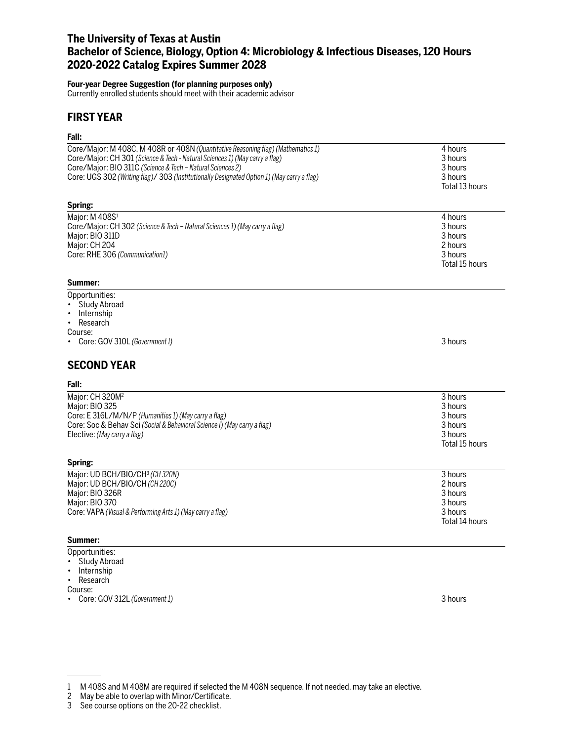# **The University of Texas at Austin Bachelor of Science, Biology, Option 4: Microbiology & Infectious Diseases, 120 Hours 2020-2022 Catalog Expires Summer 2028**

### **Four-year Degree Suggestion (for planning purposes only)**

Currently enrolled students should meet with their academic advisor

## **FIRST YEAR**

## **Fall:**

| rall.                                                                                      |                |
|--------------------------------------------------------------------------------------------|----------------|
| Core/Major: M 408C, M 408R or 408N (Quantitative Reasoning flag) (Mathematics 1)           | 4 hours        |
| Core/Major: CH 301 (Science & Tech - Natural Sciences 1) (May carry a flag)                | 3 hours        |
| Core/Major: BIO 311C (Science & Tech - Natural Sciences 2)                                 | 3 hours        |
| Core: UGS 302 (Writing flag)/ 303 (Institutionally Designated Option 1) (May carry a flag) | 3 hours        |
|                                                                                            | Total 13 hours |
| Spring:                                                                                    |                |
| Major: M 408S1                                                                             | 4 hours        |
| Core/Major: CH 302 (Science & Tech - Natural Sciences 1) (May carry a flag)                | 3 hours        |
| Major: BIO 311D                                                                            | 3 hours        |
| Major: CH 204                                                                              | 2 hours        |
| Core: RHE 306 (Communication1)                                                             | 3 hours        |
|                                                                                            | Total 15 hours |
| Summer:                                                                                    |                |
| Opportunities:                                                                             |                |
| • Study Abroad                                                                             |                |
| Internship<br>$\bullet$                                                                    |                |
| Research<br>$\bullet$                                                                      |                |
| Course:                                                                                    |                |
| Core: GOV 310L (Government I)                                                              | 3 hours        |
| <b>SECOND YEAR</b>                                                                         |                |
| Fall:                                                                                      |                |
| Major: CH 320M <sup>2</sup>                                                                | 3 hours        |
| Major: BIO 325                                                                             | 3 hours        |
| Core: E 316L/M/N/P (Humanities 1) (May carry a flag)                                       | 3 hours        |
| Core: Soc & Behav Sci (Social & Behavioral Science I) (May carry a flag)                   | 3 hours        |
| Elective: (May carry a flag)                                                               | 3 hours        |
|                                                                                            | Total 15 hours |
| Spring:                                                                                    |                |
| Major: UD BCH/BIO/CH3 (CH320N)                                                             | 3 hours        |
| Major: UD BCH/BIO/CH (CH 220C)                                                             | 2 hours        |
| Major: BIO 326R                                                                            | 3 hours        |
| Major: BIO 370                                                                             | 3 hours        |
| Core: VAPA (Visual & Performing Arts 1) (May carry a flag)                                 | 3 hours        |
|                                                                                            | Total 14 hours |
| Summer:                                                                                    |                |
| Opportunities:                                                                             |                |

- Study Abroad
- Internship
- Research

Course:

• Core: GOV 312L *(Government 1)* 3 hours

<sup>1</sup> M 408S and M 408M are required if selected the M 408N sequence. If not needed, may take an elective.

May be able to overlap with Minor/Certificate.

<sup>3</sup> See course options on the 20-22 checklist.